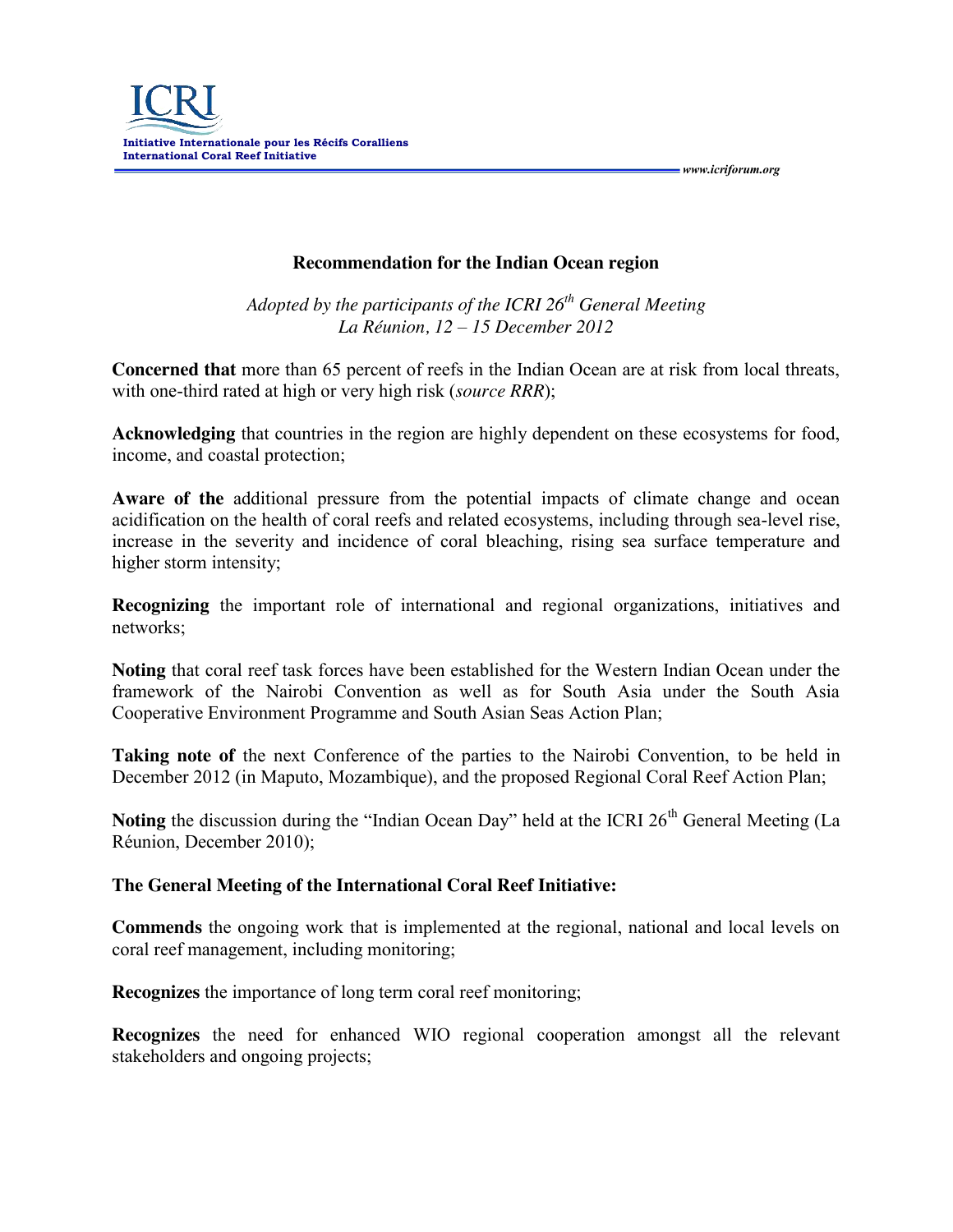

 *www.icriforum.org* 

**Recommendation for the Indian Ocean region**

*Adopted by the participants of the ICRI 26th General Meeting La Réunion, 12 – 15 December 2012*

**Concerned that** more than 65 percent of reefs in the Indian Ocean are at risk from local threats, with one-third rated at high or very high risk (*source RRR*);

**Acknowledging** that countries in the region are highly dependent on these ecosystems for food, income, and coastal protection;

**Aware of the** additional pressure from the potential impacts of climate change and ocean acidification on the health of coral reefs and related ecosystems, including through sea-level rise, increase in the severity and incidence of coral bleaching, rising sea surface temperature and higher storm intensity;

**Recognizing** the important role of international and regional organizations, initiatives and networks;

**Noting** that coral reef task forces have been established for the Western Indian Ocean under the framework of the Nairobi Convention as well as for South Asia under the South Asia Cooperative Environment Programme and South Asian Seas Action Plan;

**Taking note of** the next Conference of the parties to the Nairobi Convention, to be held in December 2012 (in Maputo, Mozambique), and the proposed Regional Coral Reef Action Plan;

**Noting** the discussion during the "Indian Ocean Day" held at the ICRI 26<sup>th</sup> General Meeting (La Réunion, December 2010);

## **The General Meeting of the International Coral Reef Initiative:**

**Commends** the ongoing work that is implemented at the regional, national and local levels on coral reef management, including monitoring;

**Recognizes** the importance of long term coral reef monitoring;

**Recognizes** the need for enhanced WIO regional cooperation amongst all the relevant stakeholders and ongoing projects;